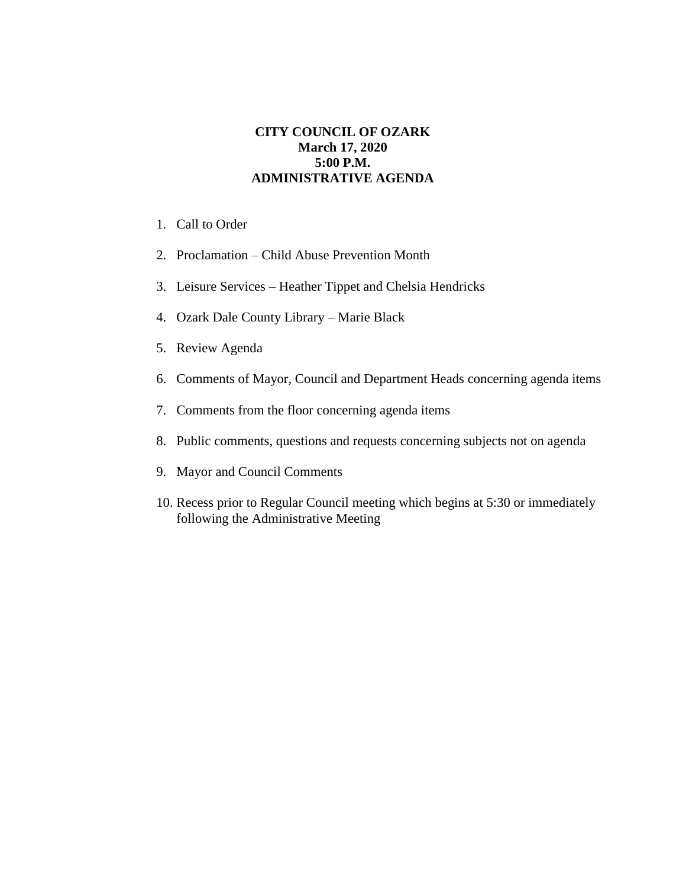## **CITY COUNCIL OF OZARK March 17, 2020 5:00 P.M. ADMINISTRATIVE AGENDA**

- 1. Call to Order
- 2. Proclamation Child Abuse Prevention Month
- 3. Leisure Services Heather Tippet and Chelsia Hendricks
- 4. Ozark Dale County Library Marie Black
- 5. Review Agenda
- 6. Comments of Mayor, Council and Department Heads concerning agenda items
- 7. Comments from the floor concerning agenda items
- 8. Public comments, questions and requests concerning subjects not on agenda
- 9. Mayor and Council Comments
- 10. Recess prior to Regular Council meeting which begins at 5:30 or immediately following the Administrative Meeting